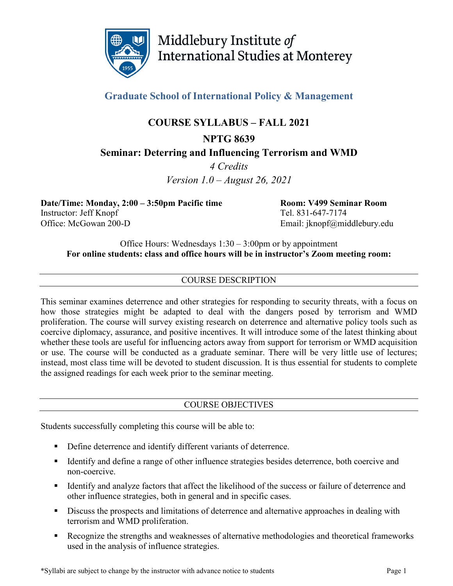

Middlebury Institute of **International Studies at Monterey** 

**Graduate School of International Policy & Management**

# **COURSE SYLLABUS – FALL 2021**

# **NPTG 8639 Seminar: Deterring and Influencing Terrorism and WMD**

*4 Credits Version 1.0 – August 26, 2021*

**Date/Time: Monday, 2:00 – 3:50pm Pacific time Room: V499 Seminar Room** Instructor: Jeff Knopf Tel. 831-647-7174 Office: McGowan 200-D Email: jknopf@middlebury.edu

Office Hours: Wednesdays 1:30 – 3:00pm or by appointment **For online students: class and office hours will be in instructor's Zoom meeting room:** 

# COURSE DESCRIPTION

This seminar examines deterrence and other strategies for responding to security threats, with a focus on how those strategies might be adapted to deal with the dangers posed by terrorism and WMD proliferation. The course will survey existing research on deterrence and alternative policy tools such as coercive diplomacy, assurance, and positive incentives. It will introduce some of the latest thinking about whether these tools are useful for influencing actors away from support for terrorism or WMD acquisition or use. The course will be conducted as a graduate seminar. There will be very little use of lectures; instead, most class time will be devoted to student discussion. It is thus essential for students to complete the assigned readings for each week prior to the seminar meeting.

# COURSE OBJECTIVES

Students successfully completing this course will be able to:

- **•** Define deterrence and identify different variants of deterrence.
- Identify and define a range of other influence strategies besides deterrence, both coercive and non-coercive.
- Identify and analyze factors that affect the likelihood of the success or failure of deterrence and other influence strategies, both in general and in specific cases.
- Discuss the prospects and limitations of deterrence and alternative approaches in dealing with terrorism and WMD proliferation.
- Recognize the strengths and weaknesses of alternative methodologies and theoretical frameworks used in the analysis of influence strategies.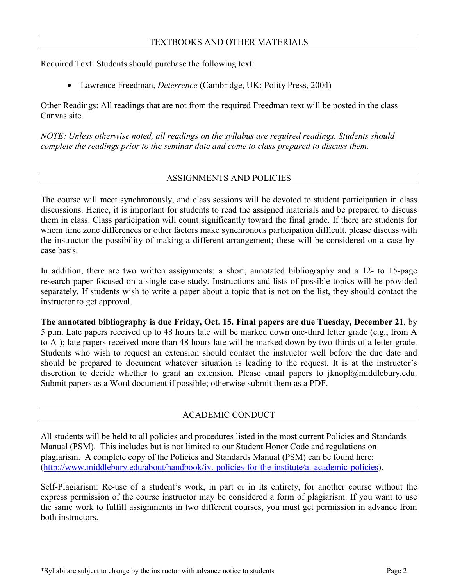Required Text: Students should purchase the following text:

• Lawrence Freedman, *Deterrence* (Cambridge, UK: Polity Press, 2004)

Other Readings: All readings that are not from the required Freedman text will be posted in the class Canvas site.

*NOTE: Unless otherwise noted, all readings on the syllabus are required readings. Students should complete the readings prior to the seminar date and come to class prepared to discuss them.*

# ASSIGNMENTS AND POLICIES

The course will meet synchronously, and class sessions will be devoted to student participation in class discussions. Hence, it is important for students to read the assigned materials and be prepared to discuss them in class. Class participation will count significantly toward the final grade. If there are students for whom time zone differences or other factors make synchronous participation difficult, please discuss with the instructor the possibility of making a different arrangement; these will be considered on a case-bycase basis.

In addition, there are two written assignments: a short, annotated bibliography and a 12- to 15-page research paper focused on a single case study. Instructions and lists of possible topics will be provided separately. If students wish to write a paper about a topic that is not on the list, they should contact the instructor to get approval.

**The annotated bibliography is due Friday, Oct. 15. Final papers are due Tuesday, December 21**, by 5 p.m. Late papers received up to 48 hours late will be marked down one-third letter grade (e.g., from A to A-); late papers received more than 48 hours late will be marked down by two-thirds of a letter grade. Students who wish to request an extension should contact the instructor well before the due date and should be prepared to document whatever situation is leading to the request. It is at the instructor's discretion to decide whether to grant an extension. Please email papers to jknopf@middlebury.edu. Submit papers as a Word document if possible; otherwise submit them as a PDF.

# ACADEMIC CONDUCT

All students will be held to all policies and procedures listed in the most current Policies and Standards Manual (PSM). This includes but is not limited to our Student Honor Code and regulations on plagiarism. A complete copy of the Policies and Standards Manual (PSM) can be found here: [\(http://www.middlebury.edu/about/handbook/iv.-policies-for-the-institute/a.-academic-policies\)](http://www.middlebury.edu/about/handbook/iv.-policies-for-the-institute/a.-academic-policies).

Self-Plagiarism: Re-use of a student's work, in part or in its entirety, for another course without the express permission of the course instructor may be considered a form of plagiarism. If you want to use the same work to fulfill assignments in two different courses, you must get permission in advance from both instructors.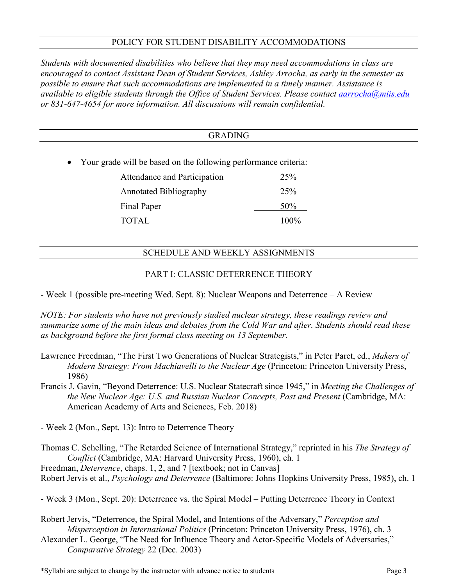# POLICY FOR STUDENT DISABILITY ACCOMMODATIONS

*Students with documented disabilities who believe that they may need accommodations in class are encouraged to contact Assistant Dean of Student Services, Ashley Arrocha, as early in the semester as possible to ensure that such accommodations are implemented in a timely manner. Assistance is available to eligible students through the Office of Student Services. Please contact [aarrocha@miis.edu](mailto:aarrocha@miis.edu) or 831-647-4654 for more information. All discussions will remain confidential.*

#### GRADING

• Your grade will be based on the following performance criteria:

| Attendance and Participation  | 25%     |
|-------------------------------|---------|
| <b>Annotated Bibliography</b> | 25%     |
| Final Paper                   | 50%     |
| <b>TOTAL</b>                  | $100\%$ |

# SCHEDULE AND WEEKLY ASSIGNMENTS

# PART I: CLASSIC DETERRENCE THEORY

- Week 1 (possible pre-meeting Wed. Sept. 8): Nuclear Weapons and Deterrence – A Review

*NOTE: For students who have not previously studied nuclear strategy, these readings review and summarize some of the main ideas and debates from the Cold War and after. Students should read these as background before the first formal class meeting on 13 September.*

- Lawrence Freedman, "The First Two Generations of Nuclear Strategists," in Peter Paret, ed., *Makers of Modern Strategy: From Machiavelli to the Nuclear Age* (Princeton: Princeton University Press, 1986)
- Francis J. Gavin, "Beyond Deterrence: U.S. Nuclear Statecraft since 1945," in *Meeting the Challenges of the New Nuclear Age: U.S. and Russian Nuclear Concepts, Past and Present* (Cambridge, MA: American Academy of Arts and Sciences, Feb. 2018)

- Week 2 (Mon., Sept. 13): Intro to Deterrence Theory

Thomas C. Schelling, "The Retarded Science of International Strategy," reprinted in his *The Strategy of Conflict* (Cambridge, MA: Harvard University Press, 1960), ch. 1 Freedman, *Deterrence*, chaps. 1, 2, and 7 [textbook; not in Canvas] Robert Jervis et al., *Psychology and Deterrence* (Baltimore: Johns Hopkins University Press, 1985), ch. 1

- Week 3 (Mon., Sept. 20): Deterrence vs. the Spiral Model – Putting Deterrence Theory in Context

Robert Jervis, "Deterrence, the Spiral Model, and Intentions of the Adversary," *Perception and Misperception in International Politics* (Princeton: Princeton University Press, 1976), ch. 3 Alexander L. George, "The Need for Influence Theory and Actor-Specific Models of Adversaries,"

*Comparative Strategy* 22 (Dec. 2003)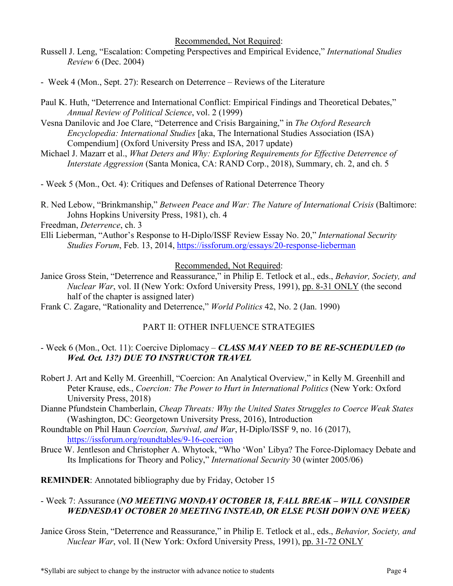Recommended, Not Required:

- Russell J. Leng, "Escalation: Competing Perspectives and Empirical Evidence," *International Studies Review* 6 (Dec. 2004)
- Week 4 (Mon., Sept. 27): Research on Deterrence Reviews of the Literature
- Paul K. Huth, "Deterrence and International Conflict: Empirical Findings and Theoretical Debates," *Annual Review of Political Science*, vol. 2 (1999)
- Vesna Danilovic and Joe Clare, "Deterrence and Crisis Bargaining," in *The Oxford Research Encyclopedia: International Studies* [aka, The International Studies Association (ISA) Compendium] (Oxford University Press and ISA, 2017 update)
- Michael J. Mazarr et al., *What Deters and Why: Exploring Requirements for Effective Deterrence of Interstate Aggression* (Santa Monica, CA: RAND Corp., 2018), Summary, ch. 2, and ch. 5
- Week 5 (Mon., Oct. 4): Critiques and Defenses of Rational Deterrence Theory
- R. Ned Lebow, "Brinkmanship," *Between Peace and War: The Nature of International Crisis* (Baltimore: Johns Hopkins University Press, 1981), ch. 4

Freedman, *Deterrence*, ch. 3

Elli Lieberman, "Author's Response to H-Diplo/ISSF Review Essay No. 20," *International Security Studies Forum*, Feb. 13, 2014,<https://issforum.org/essays/20-response-lieberman>

#### Recommended, Not Required:

- Janice Gross Stein, "Deterrence and Reassurance," in Philip E. Tetlock et al., eds., *Behavior, Society, and Nuclear War*, vol. II (New York: Oxford University Press, 1991), pp. 8-31 ONLY (the second half of the chapter is assigned later)
- Frank C. Zagare, "Rationality and Deterrence," *World Politics* 42, No. 2 (Jan. 1990)

# PART II: OTHER INFLUENCE STRATEGIES

# - Week 6 (Mon., Oct. 11): Coercive Diplomacy – *CLASS MAY NEED TO BE RE-SCHEDULED (to Wed. Oct. 13?) DUE TO INSTRUCTOR TRAVEL*

- Robert J. Art and Kelly M. Greenhill, "Coercion: An Analytical Overview," in Kelly M. Greenhill and Peter Krause, eds., *Coercion: The Power to Hurt in International Politics* (New York: Oxford University Press, 2018)
- Dianne Pfundstein Chamberlain, *Cheap Threats: Why the United States Struggles to Coerce Weak States*  (Washington, DC: Georgetown University Press, 2016), Introduction
- Roundtable on Phil Haun *Coercion, Survival, and War*, H-Diplo/ISSF 9, no. 16 (2017), <https://issforum.org/roundtables/9-16-coercion>
- Bruce W. Jentleson and Christopher A. Whytock, "Who 'Won' Libya? The Force-Diplomacy Debate and Its Implications for Theory and Policy," *International Security* 30 (winter 2005/06)

**REMINDER**: Annotated bibliography due by Friday, October 15

# - Week 7: Assurance (*NO MEETING MONDAY OCTOBER 18, FALL BREAK – WILL CONSIDER WEDNESDAY OCTOBER 20 MEETING INSTEAD, OR ELSE PUSH DOWN ONE WEEK)*

Janice Gross Stein, "Deterrence and Reassurance," in Philip E. Tetlock et al., eds., *Behavior, Society, and Nuclear War*, vol. II (New York: Oxford University Press, 1991), pp. 31-72 ONLY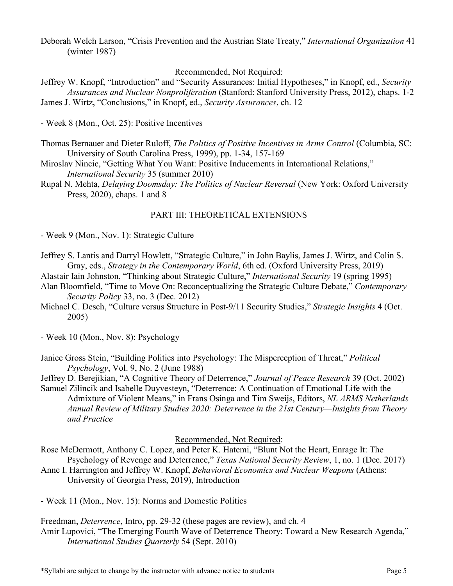Deborah Welch Larson, "Crisis Prevention and the Austrian State Treaty," *International Organization* 41 (winter 1987)

#### Recommended, Not Required:

Jeffrey W. Knopf, "Introduction" and "Security Assurances: Initial Hypotheses," in Knopf, ed., *Security Assurances and Nuclear Nonproliferation* (Stanford: Stanford University Press, 2012), chaps. 1-2 James J. Wirtz, "Conclusions," in Knopf, ed., *Security Assurances*, ch. 12

- Week 8 (Mon., Oct. 25): Positive Incentives

- Thomas Bernauer and Dieter Ruloff, *The Politics of Positive Incentives in Arms Control* (Columbia, SC: University of South Carolina Press, 1999), pp. 1-34, 157-169
- Miroslav Nincic, "Getting What You Want: Positive Inducements in International Relations," *International Security* 35 (summer 2010)
- Rupal N. Mehta, *Delaying Doomsday: The Politics of Nuclear Reversal* (New York: Oxford University Press, 2020), chaps. 1 and 8

#### PART III: THEORETICAL EXTENSIONS

- Week 9 (Mon., Nov. 1): Strategic Culture

- Jeffrey S. Lantis and Darryl Howlett, "Strategic Culture," in John Baylis, James J. Wirtz, and Colin S. Gray, eds., *Strategy in the Contemporary World*, 6th ed. (Oxford University Press, 2019)
- Alastair Iain Johnston, "Thinking about Strategic Culture," *International Security* 19 (spring 1995)
- Alan Bloomfield, "Time to Move On: Reconceptualizing the Strategic Culture Debate," *Contemporary Security Policy* 33, no. 3 (Dec. 2012)
- Michael C. Desch, "Culture versus Structure in Post-9/11 Security Studies," *Strategic Insights* 4 (Oct. 2005)

- Week 10 (Mon., Nov. 8): Psychology

- Janice Gross Stein, "Building Politics into Psychology: The Misperception of Threat," *Political Psychology*, Vol. 9, No. 2 (June 1988)
- Jeffrey D. Berejikian, "A Cognitive Theory of Deterrence," *Journal of Peace Research* 39 (Oct. 2002)
- Samuel Zilincik and Isabelle Duyvesteyn, "Deterrence: A Continuation of Emotional Life with the Admixture of Violent Means," in Frans Osinga and Tim Sweijs, Editors, *NL ARMS Netherlands Annual Review of Military Studies 2020: Deterrence in the 21st Century—Insights from Theory and Practice*

#### Recommended, Not Required:

- Rose McDermott, Anthony C. Lopez, and Peter K. Hatemi, "Blunt Not the Heart, Enrage It: The Psychology of Revenge and Deterrence," *Texas National Security Review*, 1, no. 1 (Dec. 2017)
- Anne I. Harrington and Jeffrey W. Knopf, *Behavioral Economics and Nuclear Weapons* (Athens: University of Georgia Press, 2019), Introduction

- Week 11 (Mon., Nov. 15): Norms and Domestic Politics

Freedman, *Deterrence*, Intro, pp. 29-32 (these pages are review), and ch. 4 Amir Lupovici, "The Emerging Fourth Wave of Deterrence Theory: Toward a New Research Agenda," *International Studies Quarterly* 54 (Sept. 2010)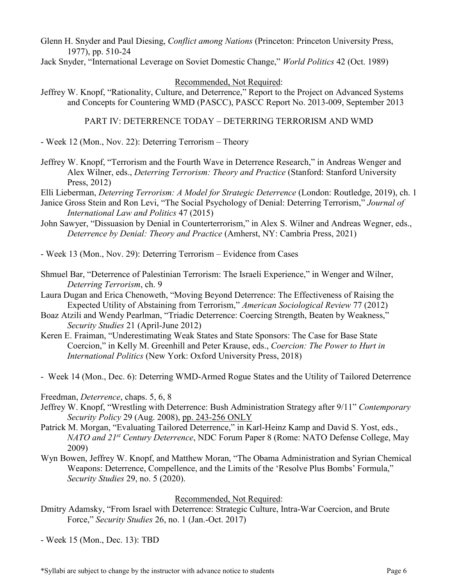Glenn H. Snyder and Paul Diesing, *Conflict among Nations* (Princeton: Princeton University Press, 1977), pp. 510-24

Jack Snyder, "International Leverage on Soviet Domestic Change," *World Politics* 42 (Oct. 1989)

#### Recommended, Not Required:

Jeffrey W. Knopf, "Rationality, Culture, and Deterrence," Report to the Project on Advanced Systems and Concepts for Countering WMD (PASCC), PASCC Report No. 2013-009, September 2013

#### PART IV: DETERRENCE TODAY – DETERRING TERRORISM AND WMD

- Week 12 (Mon., Nov. 22): Deterring Terrorism – Theory

Jeffrey W. Knopf, "Terrorism and the Fourth Wave in Deterrence Research," in Andreas Wenger and Alex Wilner, eds., *Deterring Terrorism: Theory and Practice* (Stanford: Stanford University Press, 2012)

Elli Lieberman, *Deterring Terrorism: A Model for Strategic Deterrence* (London: Routledge, 2019), ch. 1

- Janice Gross Stein and Ron Levi, "The Social Psychology of Denial: Deterring Terrorism," *Journal of International Law and Politics* 47 (2015)
- John Sawyer, "Dissuasion by Denial in Counterterrorism," in Alex S. Wilner and Andreas Wegner, eds., *Deterrence by Denial: Theory and Practice* (Amherst, NY: Cambria Press, 2021)

- Week 13 (Mon., Nov. 29): Deterring Terrorism – Evidence from Cases

- Shmuel Bar, "Deterrence of Palestinian Terrorism: The Israeli Experience," in Wenger and Wilner, *Deterring Terrorism*, ch. 9
- Laura Dugan and Erica Chenoweth, "Moving Beyond Deterrence: The Effectiveness of Raising the Expected Utility of Abstaining from Terrorism," *American Sociological Review* 77 (2012)
- Boaz Atzili and Wendy Pearlman, "Triadic Deterrence: Coercing Strength, Beaten by Weakness," *Security Studies* 21 (April-June 2012)
- Keren E. Fraiman, "Underestimating Weak States and State Sponsors: The Case for Base State Coercion," in Kelly M. Greenhill and Peter Krause, eds., *Coercion: The Power to Hurt in International Politics* (New York: Oxford University Press, 2018)
- Week 14 (Mon., Dec. 6): Deterring WMD-Armed Rogue States and the Utility of Tailored Deterrence

Freedman, *Deterrence*, chaps. 5, 6, 8

- Jeffrey W. Knopf, "Wrestling with Deterrence: Bush Administration Strategy after 9/11" *Contemporary Security Policy* 29 (Aug. 2008), pp. 243-256 ONLY
- Patrick M. Morgan, "Evaluating Tailored Deterrence," in Karl-Heinz Kamp and David S. Yost, eds., *NATO and 21st Century Deterrence*, NDC Forum Paper 8 (Rome: NATO Defense College, May 2009)
- Wyn Bowen, Jeffrey W. Knopf, and Matthew Moran, "The Obama Administration and Syrian Chemical Weapons: Deterrence, Compellence, and the Limits of the 'Resolve Plus Bombs' Formula," *Security Studies* 29, no. 5 (2020).

#### Recommended, Not Required:

- Dmitry Adamsky, "From Israel with Deterrence: Strategic Culture, Intra-War Coercion, and Brute Force," *Security Studies* 26, no. 1 (Jan.-Oct. 2017)
- Week 15 (Mon., Dec. 13): TBD